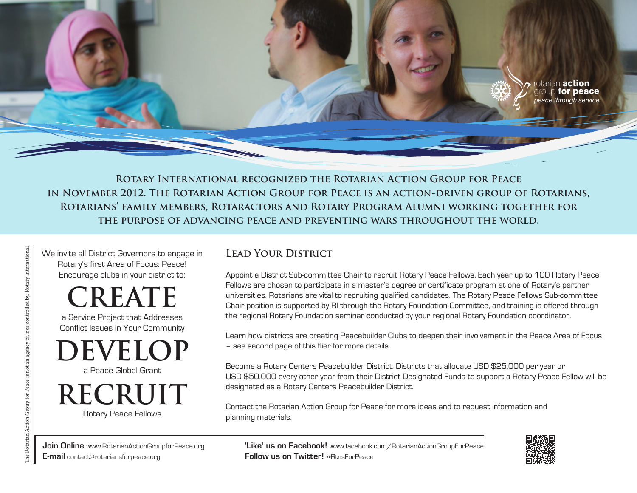

**Rotary International recognized the Rotarian Action Group for Peace in November 2012. The Rotarian Action Group for Peace is an action-driven group of Rotarians, Rotarians' family members, Rotaractors and Rotary Program Alumni working together for the purpose of advancing peace and preventing wars throughout the world.**

We invite all District Governors to engage in Rotary's first Area of Focus: Peace! Encourage clubs in your district to:

**REATE** 

a Service Project that Addresses Conflict Issues in Your Community

a Peace Global Grant **DEVELOP**

Rotary Peace Fellows **RECRUIT**

## **Lead Your District**

Appoint a District Sub-committee Chair to recruit Rotary Peace Fellows. Each year up to 100 Rotary Peace Fellows are chosen to participate in a master's degree or certificate program at one of Rotary's partner universities. Rotarians are vital to recruiting qualified candidates. The Rotary Peace Fellows Sub-committee Chair position is supported by RI through the Rotary Foundation Committee, and training is offered through the regional Rotary Foundation seminar conducted by your regional Rotary Foundation coordinator.

Learn how districts are creating Peacebuilder Clubs to deepen their involvement in the Peace Area of Focus – see second page of this flier for more details.

Become a Rotary Centers Peacebuilder District. Districts that allocate USD \$25,000 per year or USD \$50,000 every other year from their District Designated Funds to support a Rotary Peace Fellow will be designated as a Rotary Centers Peacebuilder District.

Contact the Rotarian Action Group for Peace for more ideas and to request information and planning materials.

**'Like' us on Facebook!** www.facebook.com/RotarianActionGroupForPeace **Follow us on Twitter!** @RtnsForPeace



**Join Online** www.RotarianActionGroupforPeace.org **E-mail** contact@rotariansforpeace.org